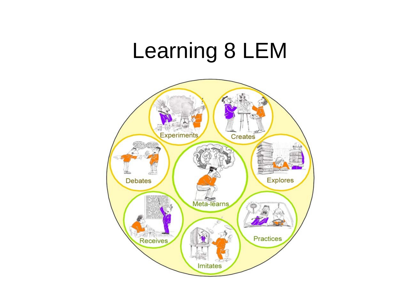### Learning 8 LEM

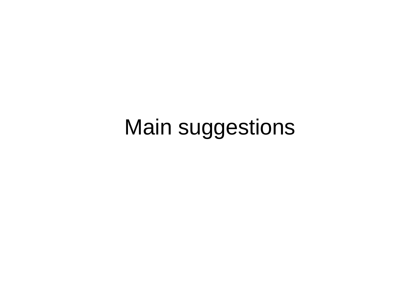### Main suggestions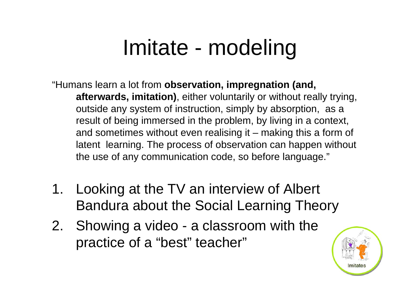## Imitate - modeling

"Humans learn a lot from **observation, impregnation (and, afterwards, imitation)**, either voluntarily or without really trying, outside any system of instruction, simply by absorption, as a result of being immersed in the problem, by living in a context, and sometimes without even realising it – making this a form of latent learning. The process of observation can happen without the use of any communication code, so before language."

- 1. Looking at the TV an interview of Albert Bandura about the Social Learning Theory
- 2. Showing a video a classroom with the practice of a "best" teacher"

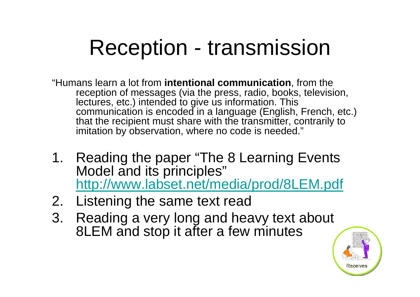### Reception - transmission

- "Humans learn a lot from **intentional communication**, from the reception of messages (via the press, radio, books, television, lectures, etc.) intended to give us information. This communication is encoded in a language (English, French, etc.) that the recipient must share with the transmitter, contrarily to imitation by observation, where no code is needed."
- 1. Reading the paper "The 8 Learning Events Model and its principles" http://www.labset.net/media/prod/8LEM.pdf
- 2. Listening the same text read
- 3. Reading a very long and heavy text about 8LEM and stop it after a few minutes

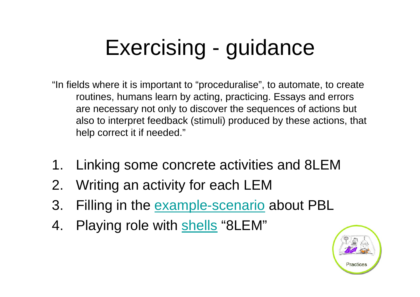## Exercising - guidance

- "In fields where it is important to "proceduralise", to automate, to create routines, humans learn by acting, practicing. Essays and errors are necessary not only to discover the sequences of actions but also to interpret feedback (stimuli) produced by these actions, that help correct it if needed."
- 1. Linking some concrete activities and 8LEM
- 2. Writing an activity for each LEM
- 3. Filling in the example-scenario about PBL
- 4. Playing role with shells "8LEM"

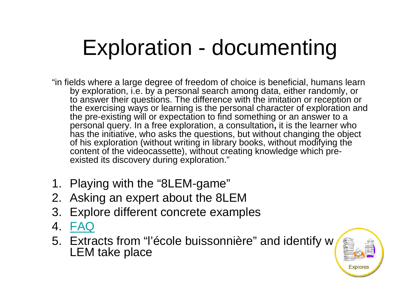## Exploration - documenting

- "in fields where a large degree of freedom of choice is beneficial, humans learn by exploration, i.e. by a personal search among data, either randomly, or to answer their questions. The difference with the imitation or reception or the exercising ways or learning is the personal character of exploration and the pre-existing will or expectation to find something or an answer to a personal query. In a free exploration, a consultation**,** it is the learner who has the initiative, who asks the questions, but without changing the object of his exploration (without writing in library books, without modifying the content of the videocassette), without creating knowledge which preexisted its discovery during exploration."
- 1. Playing with the "8LEM-game"
- 2. Asking an expert about the 8LEM
- 3. Explore different concrete examples
- 4. FAQ
- 5. Extracts from "l'école buissonnière" and identify which LEM take place

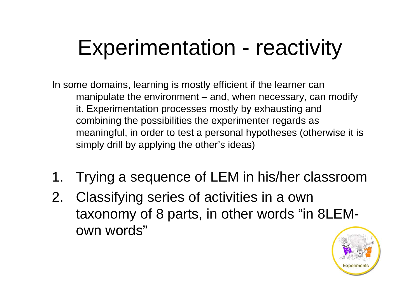## Experimentation - reactivity

In some domains, learning is mostly efficient if the learner can manipulate the environment – and, when necessary, can modify it. Experimentation processes mostly by exhausting and combining the possibilities the experimenter regards as meaningful, in order to test a personal hypotheses (otherwise it is simply drill by applying the other's ideas)

- 1. Trying a sequence of LEM in his/her classroom
- 2. Classifying series of activities in a own taxonomy of 8 parts, in other words "in 8LEMown words"

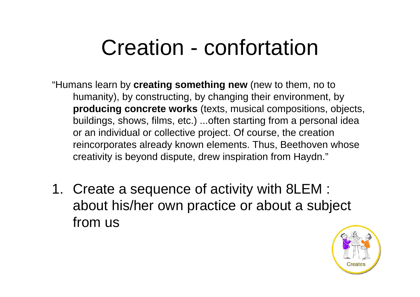### Creation - confortation

- "Humans learn by **creating something new** (new to them, no to humanity), by constructing, by changing their environment, by **producing concrete works** (texts, musical compositions, objects, buildings, shows, films, etc.) ...often starting from a personal idea or an individual or collective project. Of course, the creation reincorporates already known elements. Thus, Beethoven whose creativity is beyond dispute, drew inspiration from Haydn."
- 1. Create a sequence of activity with 8LEM : about his/her own practice or about a subject from us

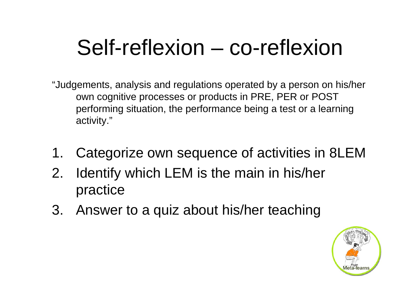### Self-reflexion – co-reflexion

- "Judgements, analysis and regulations operated by a person on his/her own cognitive processes or products in PRE, PER or POST performing situation, the performance being a test or a learning activity."
- 1. Categorize own sequence of activities in 8LEM
- 2. Identify which LEM is the main in his/her practice
- 3. Answer to a quiz about his/her teaching

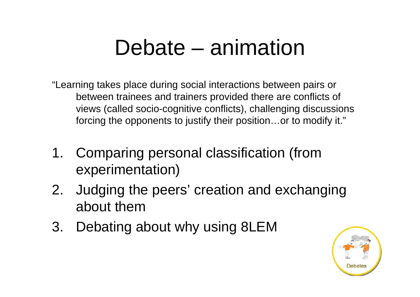### Debate – animation

"Learning takes place during social interactions between pairs or between trainees and trainers provided there are conflicts of views (called socio-cognitive conflicts), challenging discussions forcing the opponents to justify their position…or to modify it."

- 1. Comparing personal classification (from experimentation)
- 2. Judging the peers' creation and exchanging about them
- 3. Debating about why using 8LEM

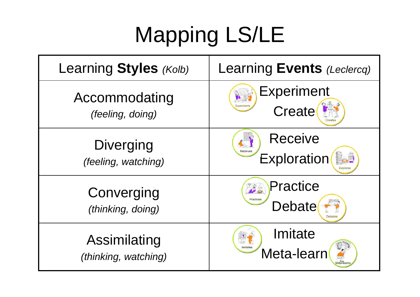# Mapping LS/LE

| Learning Styles (Kolb)          | Learning Events (Leclercq)            |
|---------------------------------|---------------------------------------|
| Accommodating                   | <b>Experiment</b>                     |
| (feeling, doing)                | Create                                |
| <b>Diverging</b>                | <b>Receive</b>                        |
| (feeling, watching)             | Exploration                           |
| Converging<br>(thinking, doing) | Practice<br>ma<br>Practices<br>Debate |
| Assimilating                    | Imitate                               |
| (thinking, watching)            | Meta-learn                            |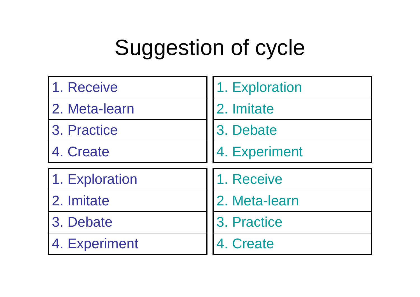## Suggestion of cycle

| 1. Receive     | 1. Exploration |
|----------------|----------------|
| 2. Meta-learn  | 2. Imitate     |
| 3. Practice    | 3. Debate      |
| 4. Create      | 4. Experiment  |
|                |                |
| 1. Exploration | 1. Receive     |
| 2. Imitate     | 2. Meta-learn  |
| 3. Debate      | 3. Practice    |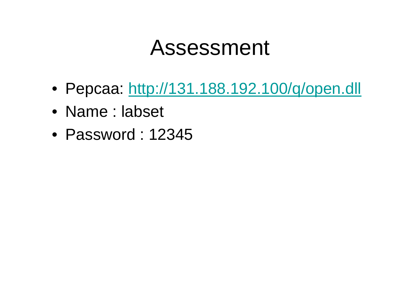#### Assessment

- Pepcaa: http://131.188.192.100/q/open.dll
- Name : labset
- Password : 12345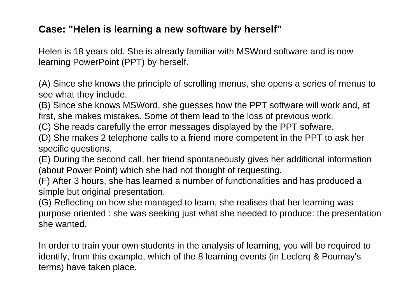#### **Case: "Helen is learning a new software by herself"**

Helen is 18 years old. She is already familiar with MSWord software and is now learning PowerPoint (PPT) by herself.

(A) Since she knows the principle of scrolling menus, she opens a series of menus to see what they include.

(B) Since she knows MSWord, she guesses how the PPT software will work and, at first, she makes mistakes. Some of them lead to the loss of previous work.

(C) She reads carefully the error messages displayed by the PPT sofware.

(D) She makes 2 telephone calls to a friend more competent in the PPT to ask her specific questions.

(E) During the second call, her friend spontaneously gives her additional information (about Power Point) which she had not thought of requesting.

(F) After 3 hours, she has learned a number of functionalities and has produced a simple but original presentation.

(G) Reflecting on how she managed to learn, she realises that her learning was purpose oriented : she was seeking just what she needed to produce: the presentation she wanted.

In order to train your own students in the analysis of learning, you will be required to identify, from this example, which of the 8 learning events (in Leclerq & Poumay's terms) have taken place.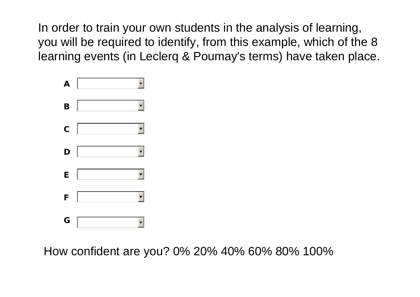In order to train your own students in the analysis of learning, you will be required to identify, from this example, which of the 8 learning events (in Leclerq & Poumay's terms) have taken place.



How confident are you? 0% 20% 40% 60% 80% 100%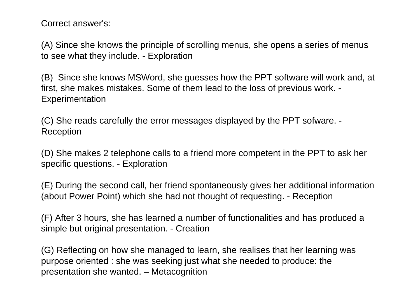Correct answer's:

(A) Since she knows the principle of scrolling menus, she opens a series of menus to see what they include. - Exploration

(B) Since she knows MSWord, she guesses how the PPT software will work and, at first, she makes mistakes. Some of them lead to the loss of previous work. - **Experimentation** 

(C) She reads carefully the error messages displayed by the PPT sofware. - Reception

(D) She makes 2 telephone calls to a friend more competent in the PPT to ask her specific questions. - Exploration

(E) During the second call, her friend spontaneously gives her additional information (about Power Point) which she had not thought of requesting. - Reception

(F) After 3 hours, she has learned a number of functionalities and has produced a simple but original presentation. - Creation

(G) Reflecting on how she managed to learn, she realises that her learning was purpose oriented : she was seeking just what she needed to produce: the presentation she wanted. – Metacognition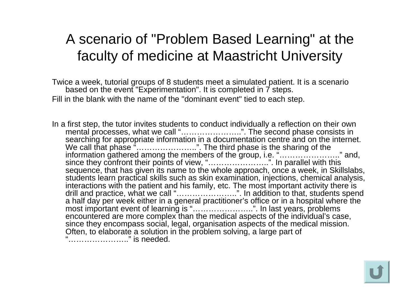#### A scenario of "Problem Based Learning" at the faculty of medicine at Maastricht University

Twice a week, tutorial groups of 8 students meet a simulated patient. It is a scenario based on the event "Experimentation". It is completed in 7 steps. Fill in the blank with the name of the "dominant event" tied to each step.

In a first step, the tutor invites students to conduct individually a reflection on their own mental processes, what we call "…………………..". The second phase consists in searching for appropriate information in a documentation centre and on the internet. We call that phase "........................". The third phase is the sharing of the information gathered among the members of the group, i.e. "………………….." and, since they confront their points of view, "…………………..". In parallel with this sequence, that has given its name to the whole approach, once a week, in Skillslabs, students learn practical skills such as skin examination, injections, chemical analysis, interactions with the patient and his family, etc. The most important activity there is drill and practice, what we call "…………………..". In addition to that, students spend a half day per week either in a general practitioner's office or in a hospital where the most important event of learning is "…………………..". In last years, problems encountered are more complex than the medical aspects of the individual's case, since they encompass social, legal, organisation aspects of the medical mission. Often, to elaborate a solution in the problem solving, a large part of "………………….." is needed.

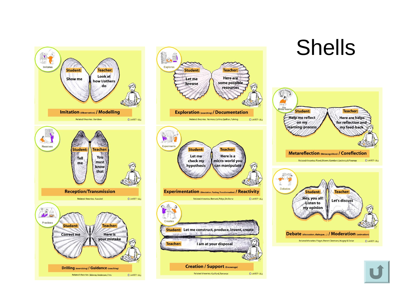

Related theories: Skinner, Anderson, Fitts CLabSET-ULg



## Shells